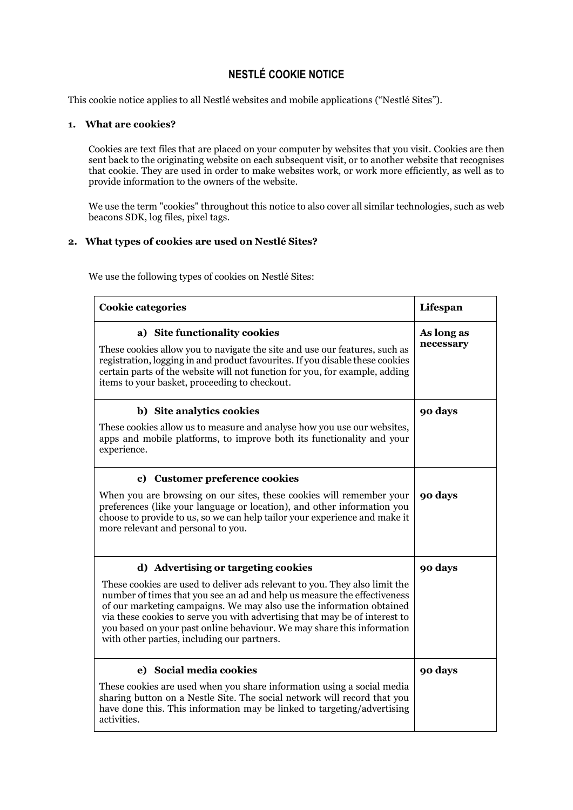# **NESTLÉ COOKIE NOTICE**

This cookie notice applies to all Nestlé websites and mobile applications ("Nestlé Sites").

# **1. What are cookies?**

Cookies are text files that are placed on your computer by websites that you visit. Cookies are then sent back to the originating website on each subsequent visit, or to another website that recognises that cookie. They are used in order to make websites work, or work more efficiently, as well as to provide information to the owners of the website.

We use the term "cookies" throughout this notice to also cover all similar technologies, such as web beacons SDK, log files, pixel tags.

# **2. What types of cookies are used on Nestlé Sites?**

We use the following types of cookies on Nestlé Sites:

| <b>Cookie categories</b>                                                                                                                                                                                                                                                                                                                                                                                                                                                     | Lifespan                |
|------------------------------------------------------------------------------------------------------------------------------------------------------------------------------------------------------------------------------------------------------------------------------------------------------------------------------------------------------------------------------------------------------------------------------------------------------------------------------|-------------------------|
| a) Site functionality cookies<br>These cookies allow you to navigate the site and use our features, such as<br>registration, logging in and product favourites. If you disable these cookies<br>certain parts of the website will not function for you, for example, adding<br>items to your basket, proceeding to checkout.                                                                                                                                                 | As long as<br>necessary |
| b) Site analytics cookies<br>These cookies allow us to measure and analyse how you use our websites,<br>apps and mobile platforms, to improve both its functionality and your<br>experience.                                                                                                                                                                                                                                                                                 | 90 days                 |
| c) Customer preference cookies<br>When you are browsing on our sites, these cookies will remember your<br>preferences (like your language or location), and other information you<br>choose to provide to us, so we can help tailor your experience and make it<br>more relevant and personal to you.                                                                                                                                                                        | 90 days                 |
| d) Advertising or targeting cookies<br>These cookies are used to deliver ads relevant to you. They also limit the<br>number of times that you see an ad and help us measure the effectiveness<br>of our marketing campaigns. We may also use the information obtained<br>via these cookies to serve you with advertising that may be of interest to<br>you based on your past online behaviour. We may share this information<br>with other parties, including our partners. | 90 days                 |
| e) Social media cookies<br>These cookies are used when you share information using a social media<br>sharing button on a Nestle Site. The social network will record that you<br>have done this. This information may be linked to targeting/advertising<br>activities.                                                                                                                                                                                                      | 90 days                 |